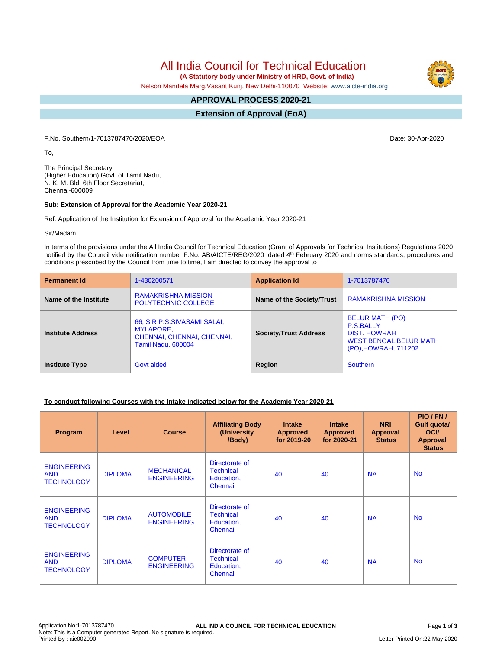All India Council for Technical Education

 **(A Statutory body under Ministry of HRD, Govt. of India)**

Nelson Mandela Marg,Vasant Kunj, New Delhi-110070 Website: [www.aicte-india.org](http://www.aicte-india.org)

#### **APPROVAL PROCESS 2020-21 -**

**Extension of Approval (EoA)**

F.No. Southern/1-7013787470/2020/EOA Date: 30-Apr-2020

To,

The Principal Secretary (Higher Education) Govt. of Tamil Nadu, N. K. M. Bld. 6th Floor Secretariat, Chennai-600009

#### **Sub: Extension of Approval for the Academic Year 2020-21**

Ref: Application of the Institution for Extension of Approval for the Academic Year 2020-21

Sir/Madam,

In terms of the provisions under the All India Council for Technical Education (Grant of Approvals for Technical Institutions) Regulations 2020 notified by the Council vide notification number F.No. AB/AICTE/REG/2020 dated 4<sup>th</sup> February 2020 and norms standards, procedures and conditions prescribed by the Council from time to time, I am directed to convey the approval to

| <b>Permanent Id</b>      | 1-430200571                                                                                                | <b>Application Id</b>        | 1-7013787470                                                                                                                |  |
|--------------------------|------------------------------------------------------------------------------------------------------------|------------------------------|-----------------------------------------------------------------------------------------------------------------------------|--|
| Name of the Institute    | <b>RAMAKRISHNA MISSION</b><br><b>POLYTECHNIC COLLEGE</b>                                                   | Name of the Society/Trust    | <b>RAMAKRISHNA MISSION</b>                                                                                                  |  |
| <b>Institute Address</b> | 66, SIR P.S.SIVASAMI SALAI,<br><b>MYLAPORE.</b><br>CHENNAI, CHENNAI, CHENNAI,<br><b>Tamil Nadu, 600004</b> | <b>Society/Trust Address</b> | <b>BELUR MATH (PO)</b><br><b>P.S.BALLY</b><br><b>DIST. HOWRAH</b><br><b>WEST BENGAL, BELUR MATH</b><br>(PO), HOWRAH, 711202 |  |
| <b>Institute Type</b>    | Govt aided                                                                                                 | Region                       | <b>Southern</b>                                                                                                             |  |

### **To conduct following Courses with the Intake indicated below for the Academic Year 2020-21**

| Program                                               | Level          | <b>Course</b>                           | <b>Affiliating Body</b><br>(University)<br>/Body)           | <b>Intake</b><br><b>Approved</b><br>for 2019-20 | <b>Intake</b><br><b>Approved</b><br>for 2020-21 | <b>NRI</b><br>Approval<br><b>Status</b> | PIO/FN/<br>Gulf quota/<br><b>OCI</b><br><b>Approval</b><br><b>Status</b> |
|-------------------------------------------------------|----------------|-----------------------------------------|-------------------------------------------------------------|-------------------------------------------------|-------------------------------------------------|-----------------------------------------|--------------------------------------------------------------------------|
| <b>ENGINEERING</b><br><b>AND</b><br><b>TECHNOLOGY</b> | <b>DIPLOMA</b> | <b>MECHANICAL</b><br><b>ENGINEERING</b> | Directorate of<br><b>Technical</b><br>Education,<br>Chennai | 40                                              | 40                                              | <b>NA</b>                               | <b>No</b>                                                                |
| <b>ENGINEERING</b><br><b>AND</b><br><b>TECHNOLOGY</b> | <b>DIPLOMA</b> | <b>AUTOMOBILE</b><br><b>ENGINEERING</b> | Directorate of<br><b>Technical</b><br>Education,<br>Chennai | 40                                              | 40                                              | <b>NA</b>                               | <b>No</b>                                                                |
| <b>ENGINEERING</b><br><b>AND</b><br><b>TECHNOLOGY</b> | <b>DIPLOMA</b> | <b>COMPUTER</b><br><b>ENGINEERING</b>   | Directorate of<br><b>Technical</b><br>Education,<br>Chennai | 40                                              | 40                                              | <b>NA</b>                               | <b>No</b>                                                                |

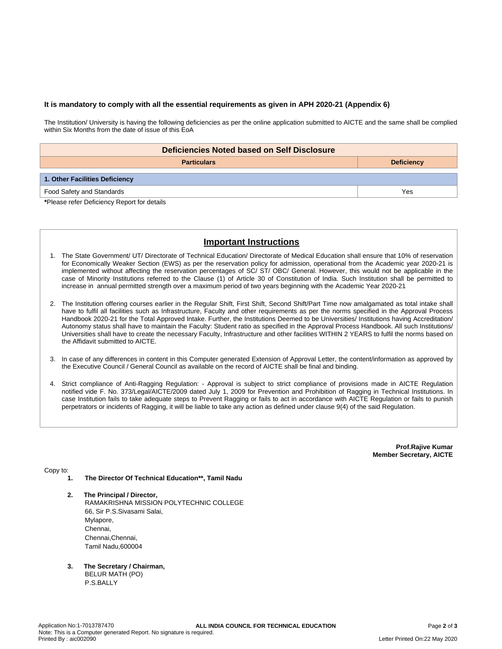### **It is mandatory to comply with all the essential requirements as given in APH 2020-21 (Appendix 6)**

The Institution/ University is having the following deficiencies as per the online application submitted to AICTE and the same shall be complied within Six Months from the date of issue of this EoA

| Deficiencies Noted based on Self Disclosure |                   |  |  |  |  |
|---------------------------------------------|-------------------|--|--|--|--|
| <b>Particulars</b>                          | <b>Deficiency</b> |  |  |  |  |
|                                             |                   |  |  |  |  |
| 1. Other Facilities Deficiency              |                   |  |  |  |  |
| Food Safety and Standards                   | Yes               |  |  |  |  |

**\***Please refer Deficiency Report for details

# **Important Instructions**

- 1. The State Government/ UT/ Directorate of Technical Education/ Directorate of Medical Education shall ensure that 10% of reservation for Economically Weaker Section (EWS) as per the reservation policy for admission, operational from the Academic year 2020-21 is implemented without affecting the reservation percentages of SC/ ST/ OBC/ General. However, this would not be applicable in the case of Minority Institutions referred to the Clause (1) of Article 30 of Constitution of India. Such Institution shall be permitted to increase in annual permitted strength over a maximum period of two years beginning with the Academic Year 2020-21
- 2. The Institution offering courses earlier in the Regular Shift, First Shift, Second Shift/Part Time now amalgamated as total intake shall have to fulfil all facilities such as Infrastructure, Faculty and other requirements as per the norms specified in the Approval Process Handbook 2020-21 for the Total Approved Intake. Further, the Institutions Deemed to be Universities/ Institutions having Accreditation/ Autonomy status shall have to maintain the Faculty: Student ratio as specified in the Approval Process Handbook. All such Institutions/ Universities shall have to create the necessary Faculty, Infrastructure and other facilities WITHIN 2 YEARS to fulfil the norms based on the Affidavit submitted to AICTE.
- 3. In case of any differences in content in this Computer generated Extension of Approval Letter, the content/information as approved by the Executive Council / General Council as available on the record of AICTE shall be final and binding.
- 4. Strict compliance of Anti-Ragging Regulation: Approval is subject to strict compliance of provisions made in AICTE Regulation notified vide F. No. 373/Legal/AICTE/2009 dated July 1, 2009 for Prevention and Prohibition of Ragging in Technical Institutions. In case Institution fails to take adequate steps to Prevent Ragging or fails to act in accordance with AICTE Regulation or fails to punish perpetrators or incidents of Ragging, it will be liable to take any action as defined under clause 9(4) of the said Regulation.

**Prof.Rajive Kumar Member Secretary, AICTE**

Copy to:

- **1. The Director Of Technical Education\*\*, Tamil Nadu**
- **2. The Principal / Director,** RAMAKRISHNA MISSION POLYTECHNIC COLLEGE 66, Sir P.S.Sivasami Salai, Mylapore, Chennai, Chennai,Chennai, Tamil Nadu,600004
- **3. The Secretary / Chairman,** BELUR MATH (PO) P.S.BALLY